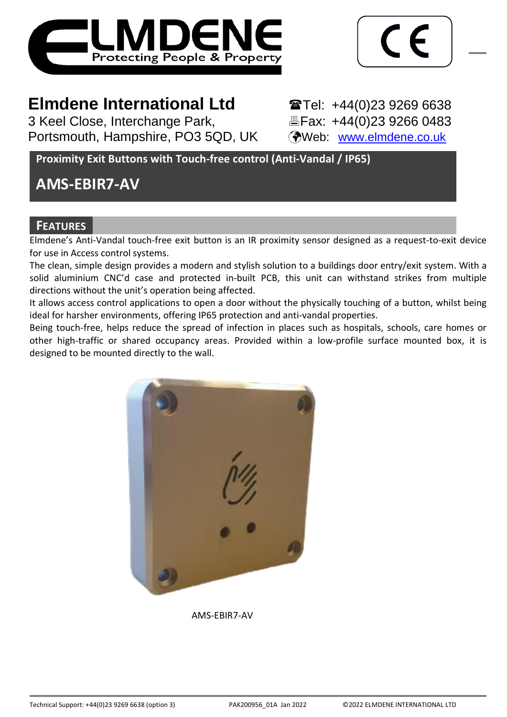



# **Elmdene International Ltd** Tel: +44(0)23 9269 6638

3 Keel Close, Interchange Park, <br>Portsmouth, Hampshire, PO3 5QD, UK (Web: www.elmdene.co.uk) Portsmouth, Hampshire, PO3 5QD, UK

**Proximity Exit Buttons with Touch-free control (Anti-Vandal / IP65)**

# **AMS-EBIR7-AV**

## **FEATURES**

Elmdene's Anti-Vandal touch-free exit button is an IR proximity sensor designed as a request-to-exit device for use in Access control systems.

The clean, simple design provides a modern and stylish solution to a buildings door entry/exit system. With a solid aluminium CNC'd case and protected in-built PCB, this unit can withstand strikes from multiple directions without the unit's operation being affected.

It allows access control applications to open a door without the physically touching of a button, whilst being ideal for harsher environments, offering IP65 protection and anti-vandal properties.

Being touch-free, helps reduce the spread of infection in places such as hospitals, schools, care homes or other high-traffic or shared occupancy areas. Provided within a low-profile surface mounted box, it is designed to be mounted directly to the wall.



AMS-EBIR7-AV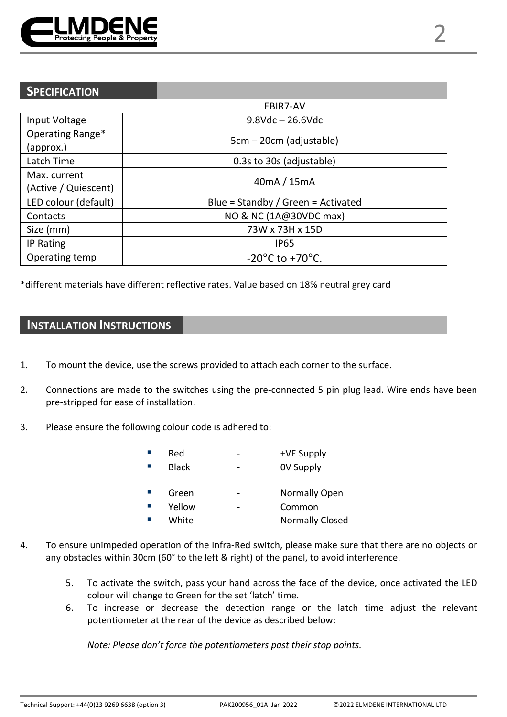

## **SPECIFICATION**

|                                      | EBIR7-AV                            |  |  |
|--------------------------------------|-------------------------------------|--|--|
| Input Voltage                        | $9.8$ Vdc $- 26.6$ Vdc              |  |  |
| Operating Range*<br>(approx.)        | 5cm – 20cm (adjustable)             |  |  |
| Latch Time                           | 0.3s to 30s (adjustable)            |  |  |
| Max. current<br>(Active / Quiescent) | 40mA / 15mA                         |  |  |
| LED colour (default)                 | Blue = Standby / Green = Activated  |  |  |
| Contacts                             | NO & NC (1A@30VDC max)              |  |  |
| Size (mm)                            | 73W x 73H x 15D                     |  |  |
| <b>IP Rating</b>                     | <b>IP65</b>                         |  |  |
| Operating temp                       | $-20^{\circ}$ C to $+70^{\circ}$ C. |  |  |

\*different materials have different reflective rates. Value based on 18% neutral grey card

## **INSTALLATION INSTRUCTIONS**

- 1. To mount the device, use the screws provided to attach each corner to the surface.
- 2. Connections are made to the switches using the pre-connected 5 pin plug lead. Wire ends have been pre-stripped for ease of installation.
- 3. Please ensure the following colour code is adhered to:

|  | Red |  | +VE Supply |
|--|-----|--|------------|
|--|-----|--|------------|

- Black 0V Supply
- Green Normally Open
- Yellow Common
- White Normally Closed
- 4. To ensure unimpeded operation of the Infra-Red switch, please make sure that there are no objects or any obstacles within 30cm (60° to the left & right) of the panel, to avoid interference.
	- 5. To activate the switch, pass your hand across the face of the device, once activated the LED colour will change to Green for the set 'latch' time.
	- 6. To increase or decrease the detection range or the latch time adjust the relevant potentiometer at the rear of the device as described below:

*Note: Please don't force the potentiometers past their stop points.*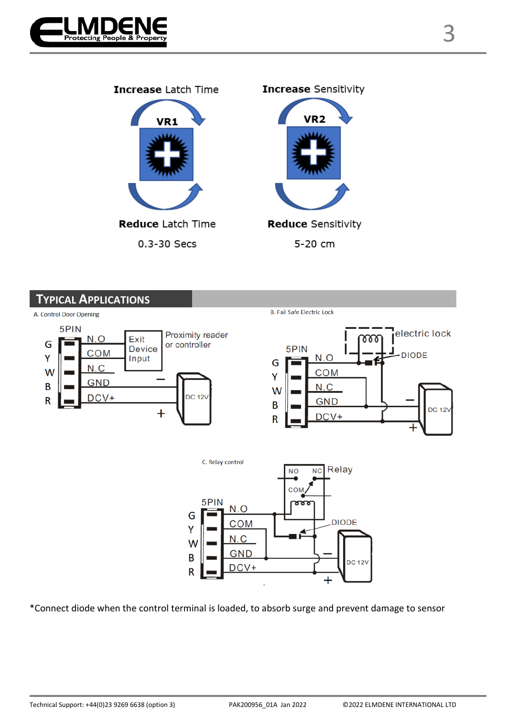



**Increase Sensitivity** 



## **TYPICAL APPLICATIONS**



**B. Fail Safe Electric Lock** 





\*Connect diode when the control terminal is loaded, to absorb surge and prevent damage to sensor